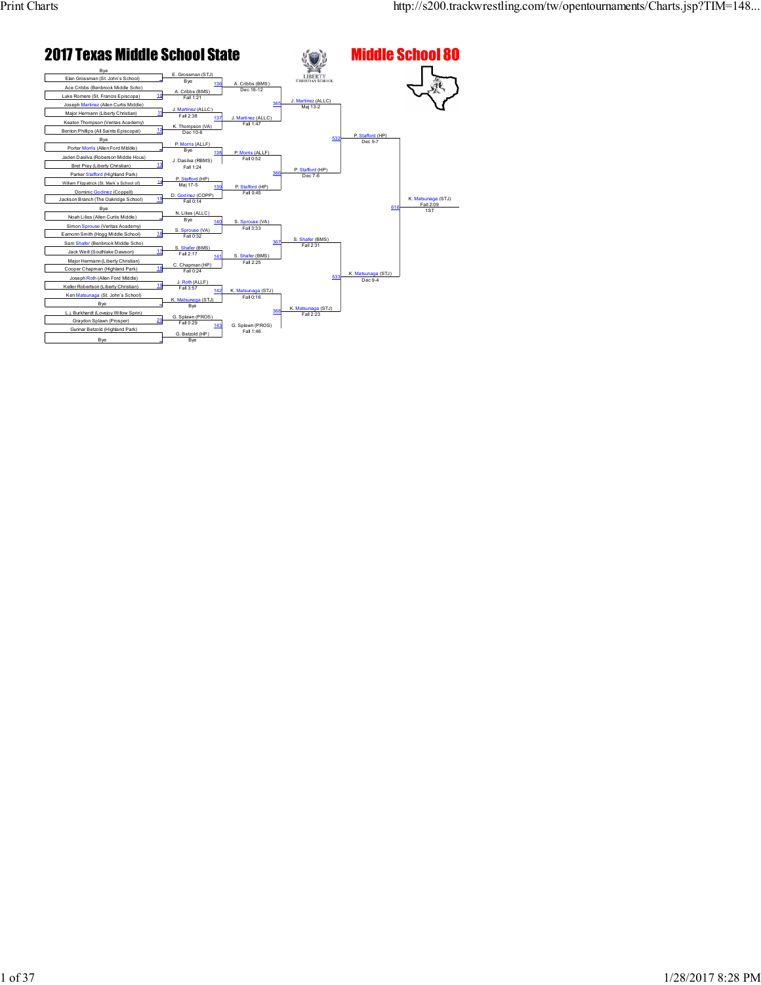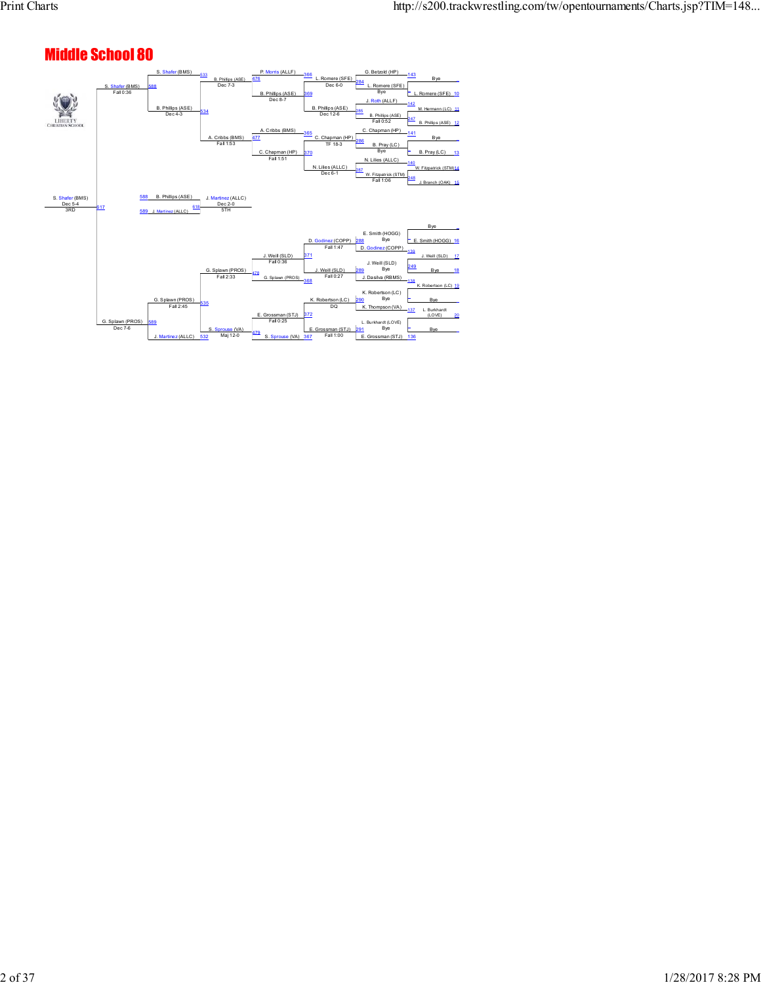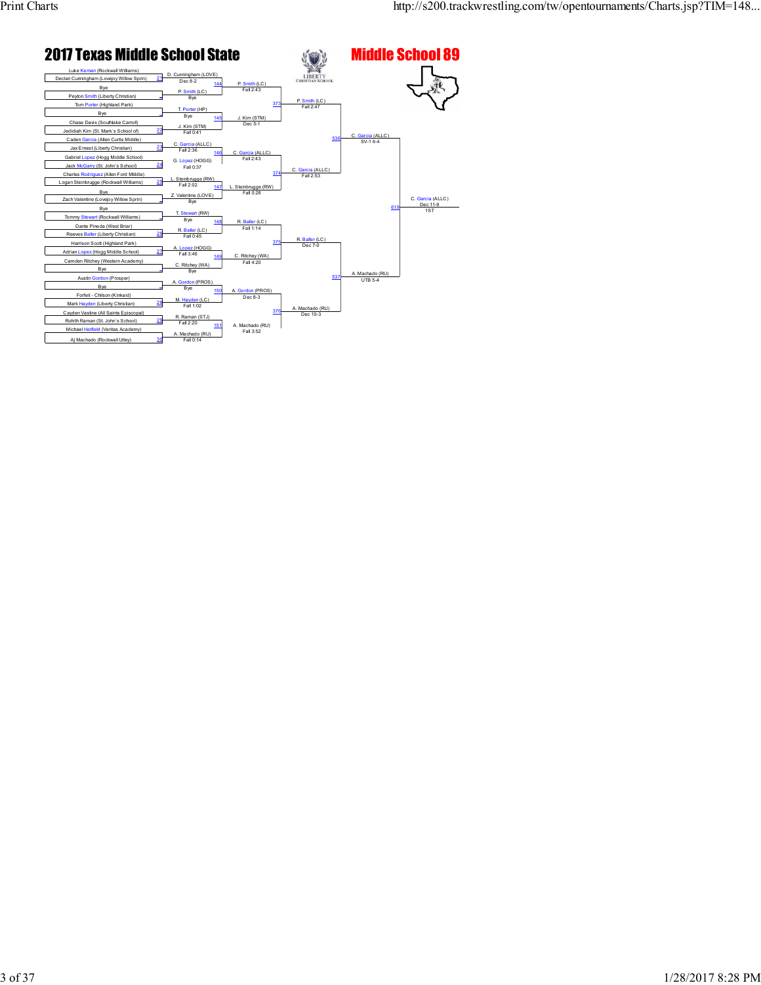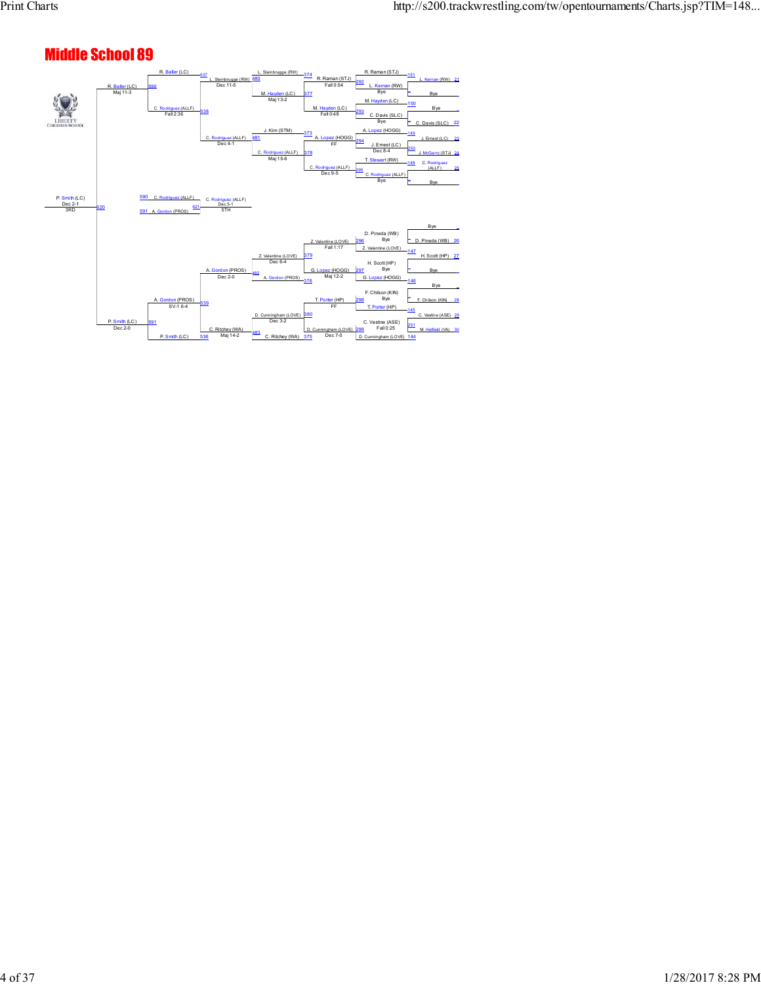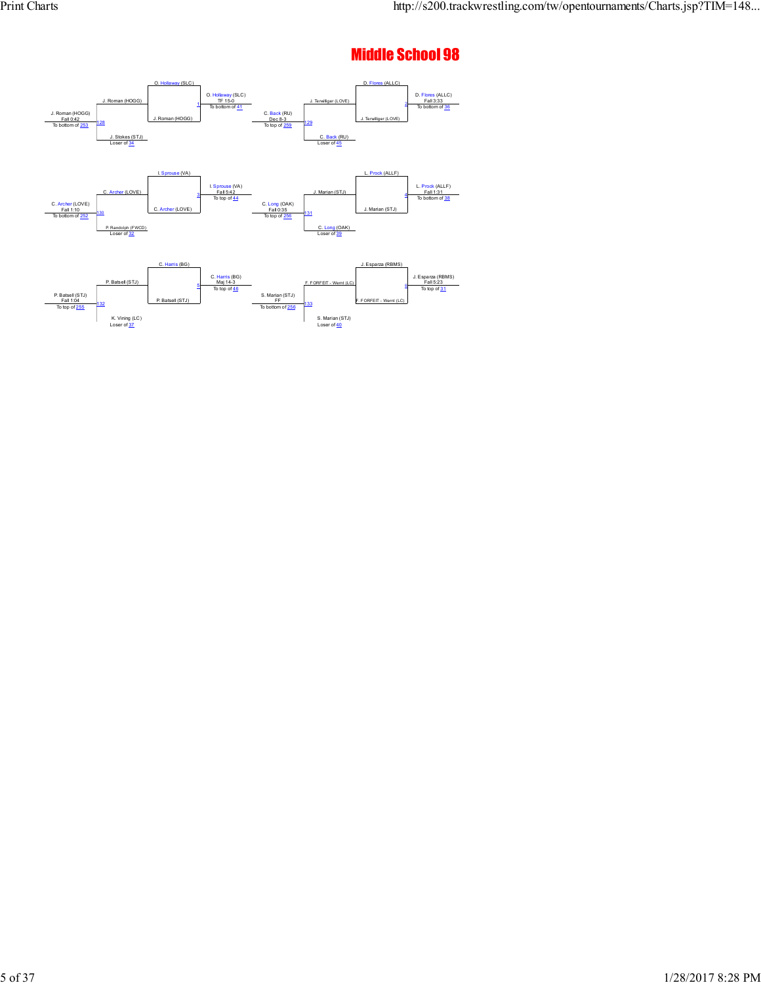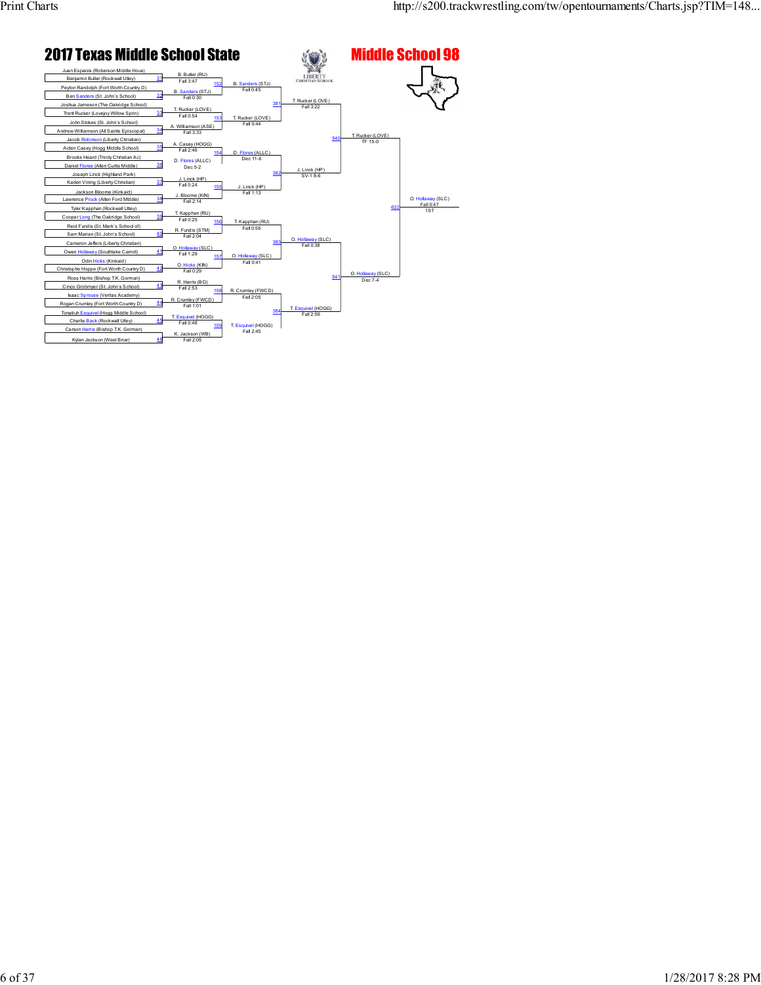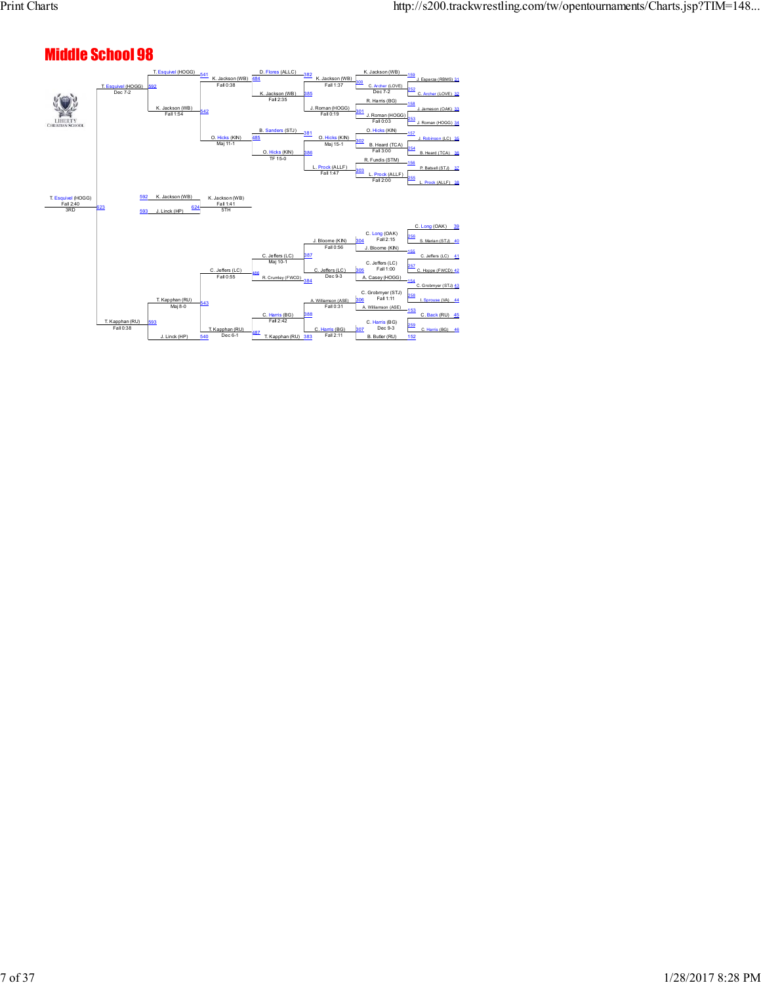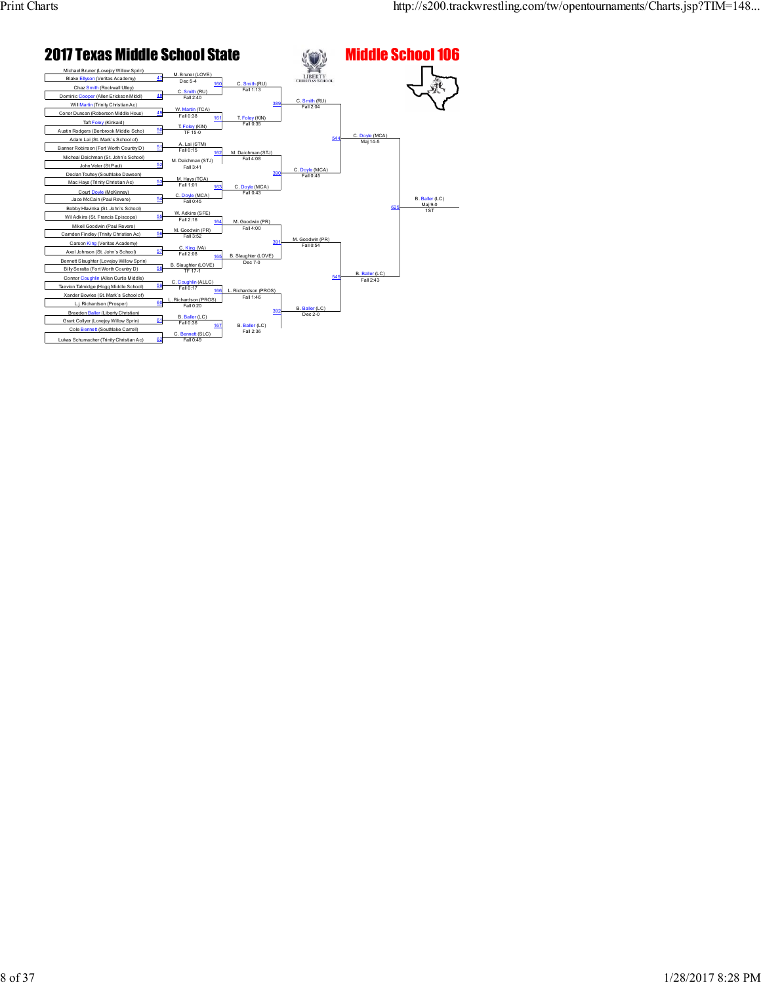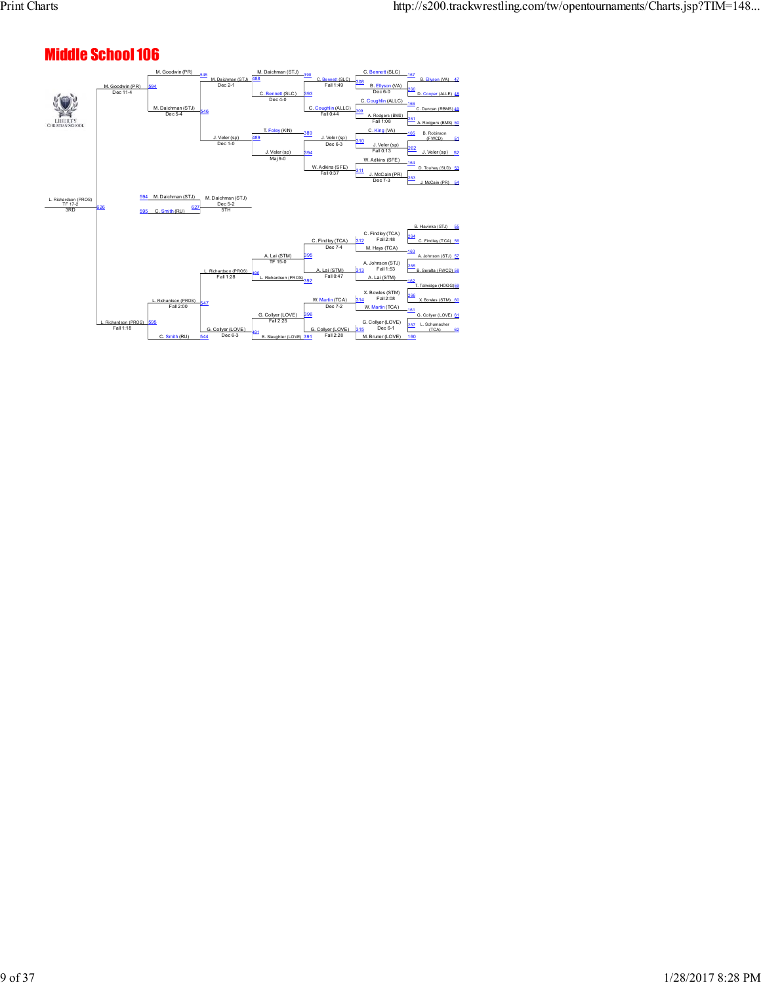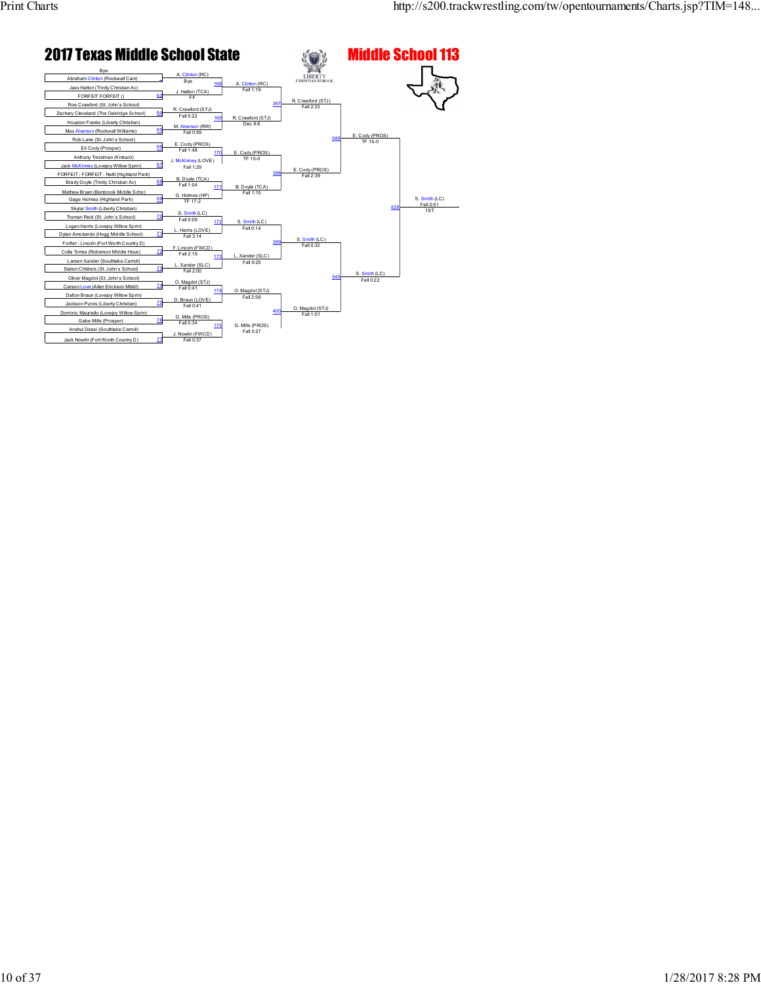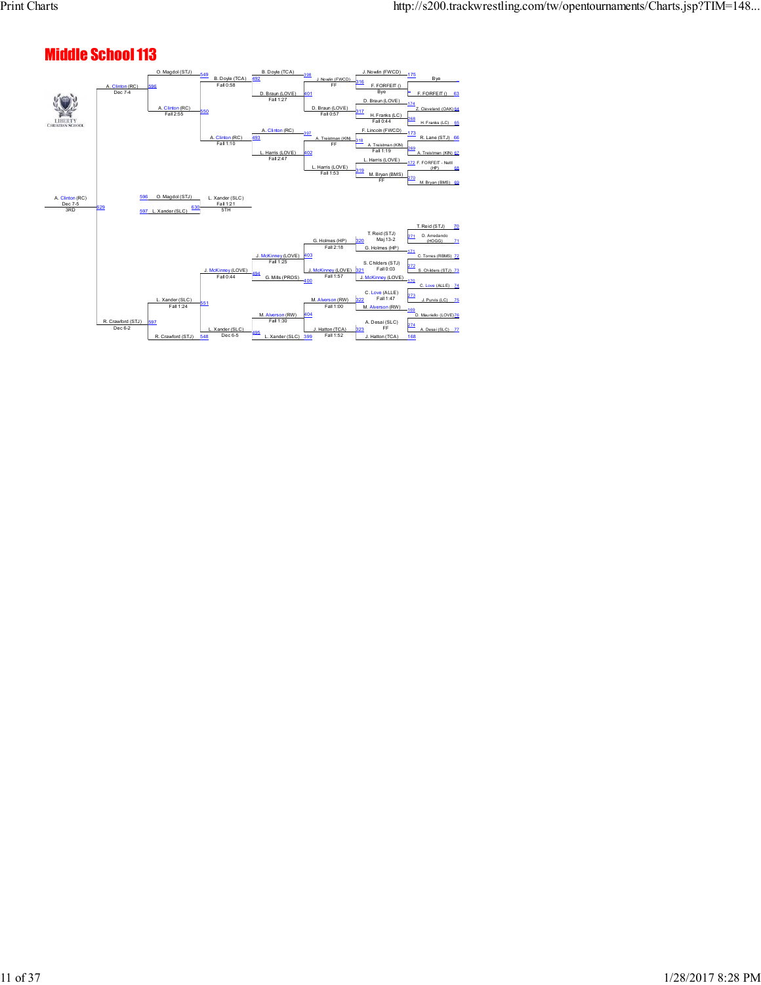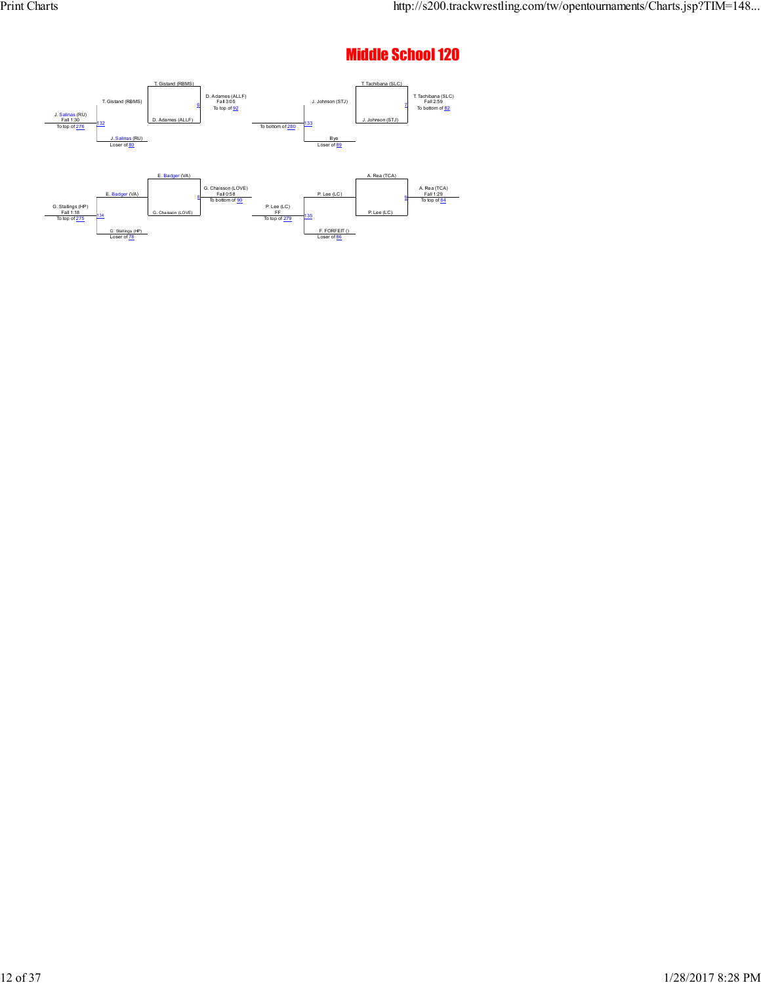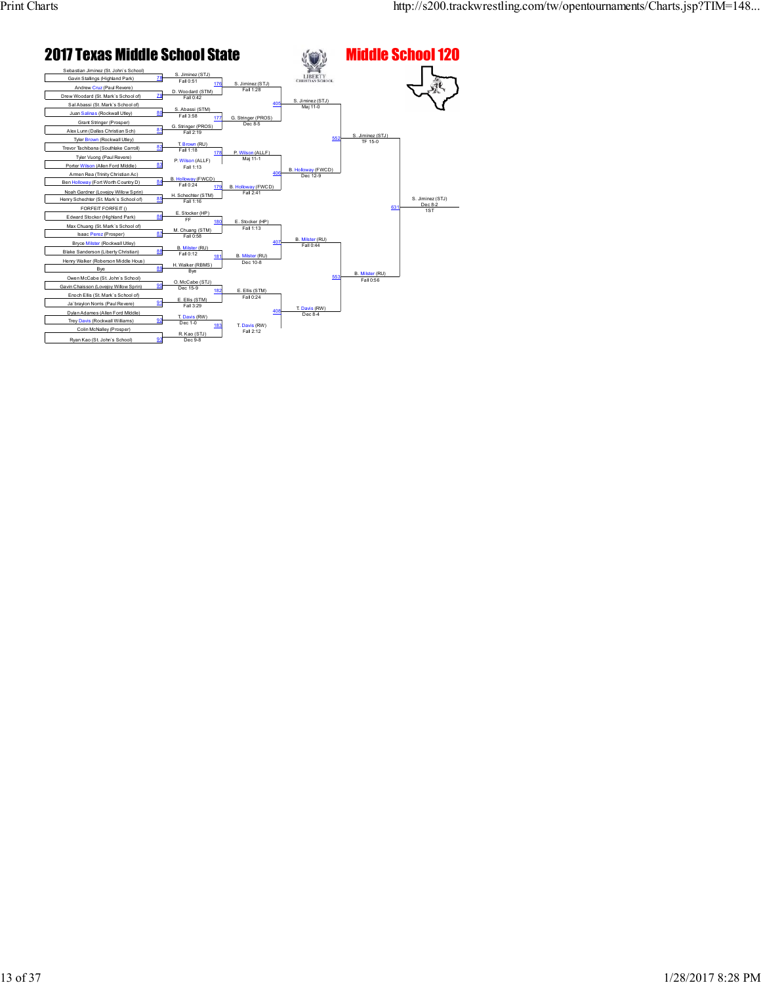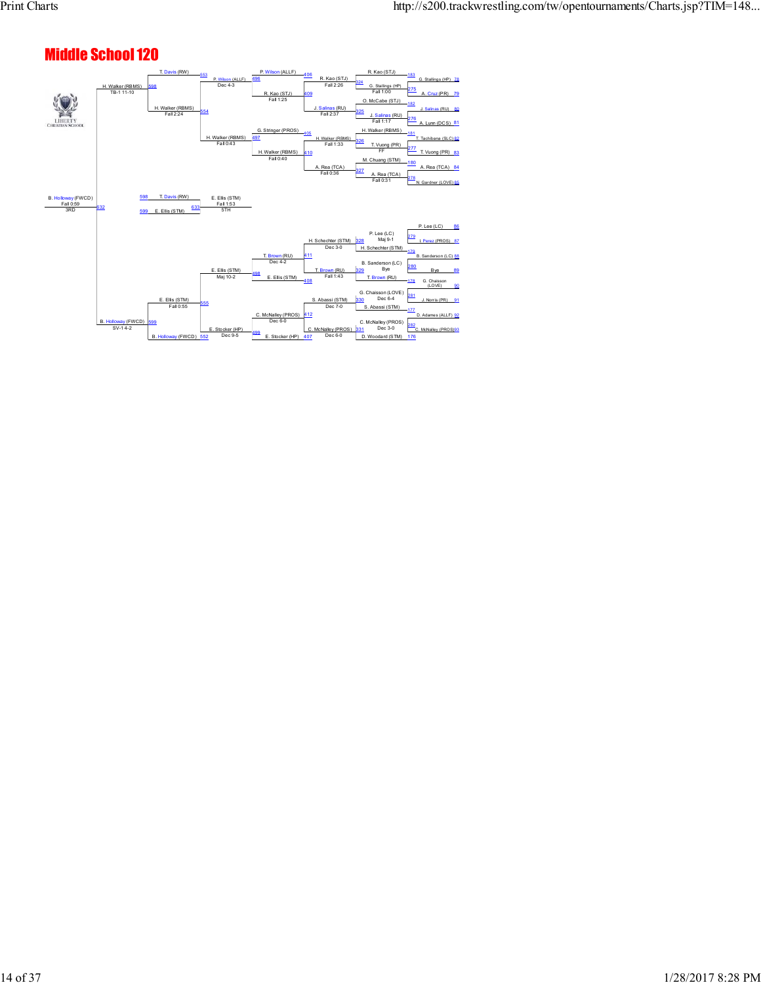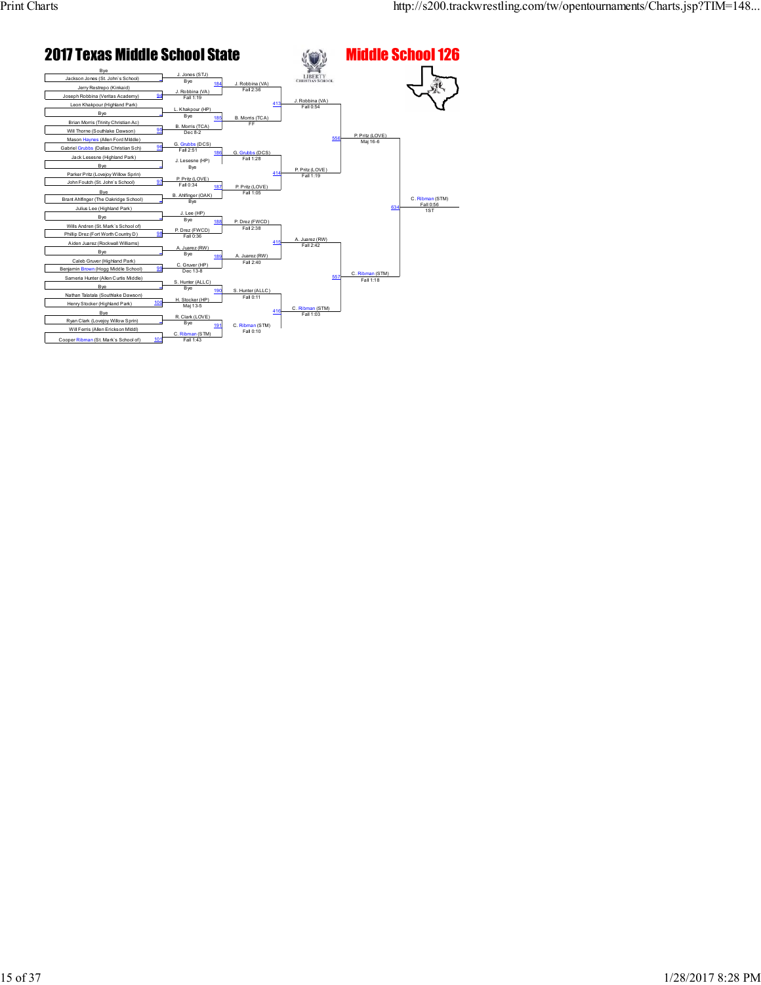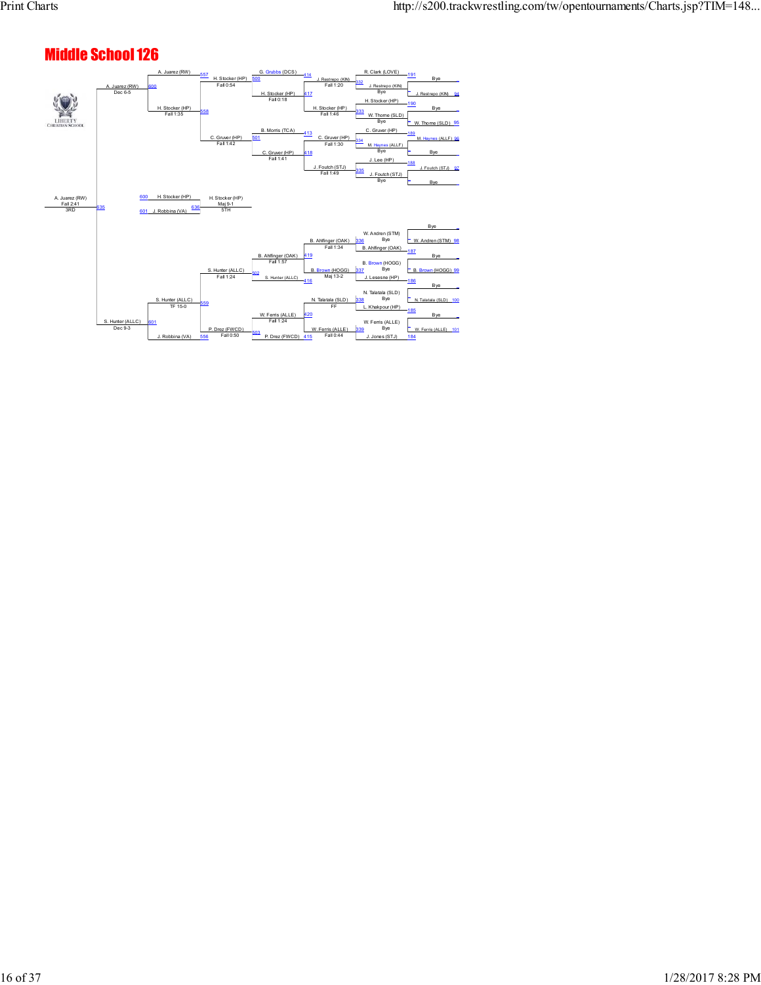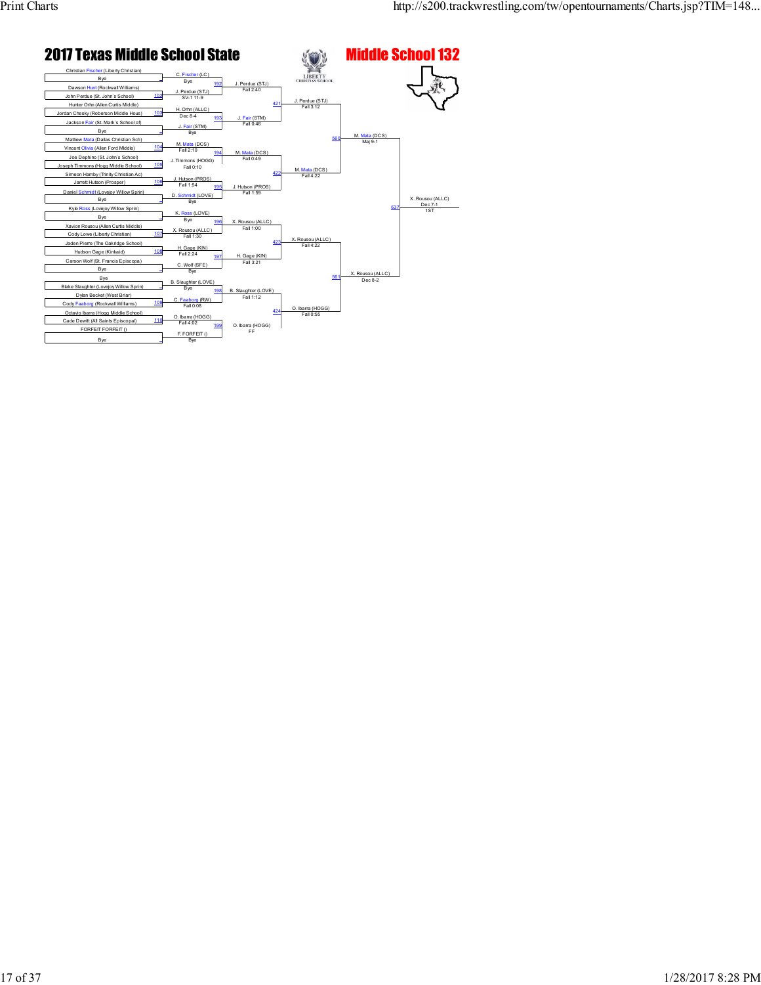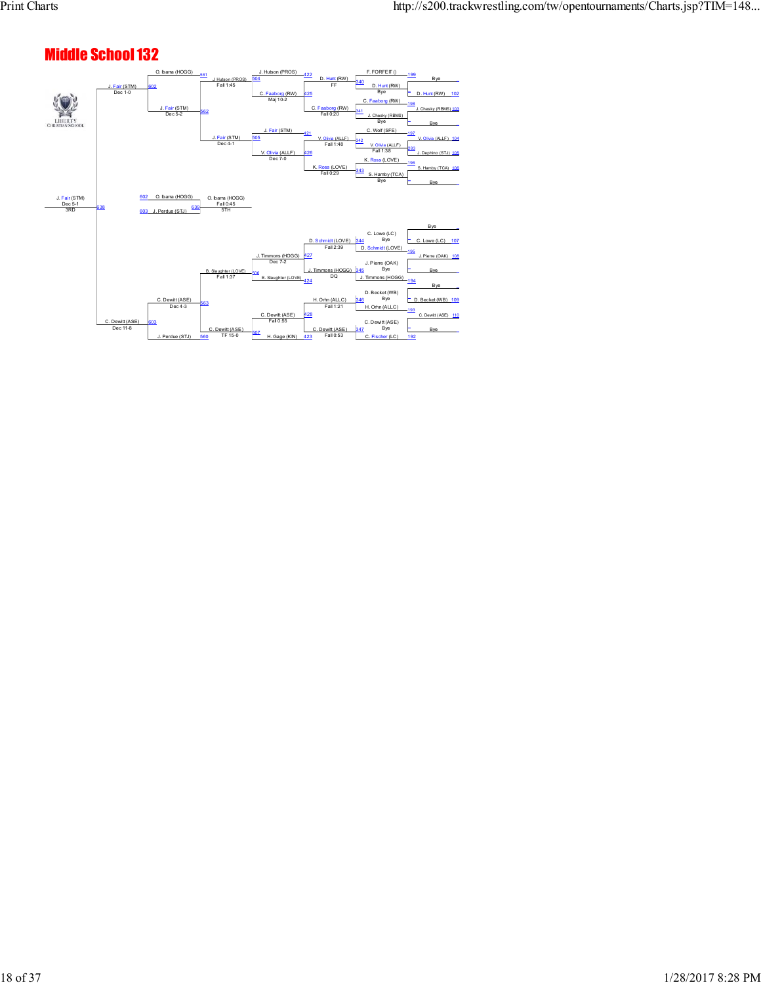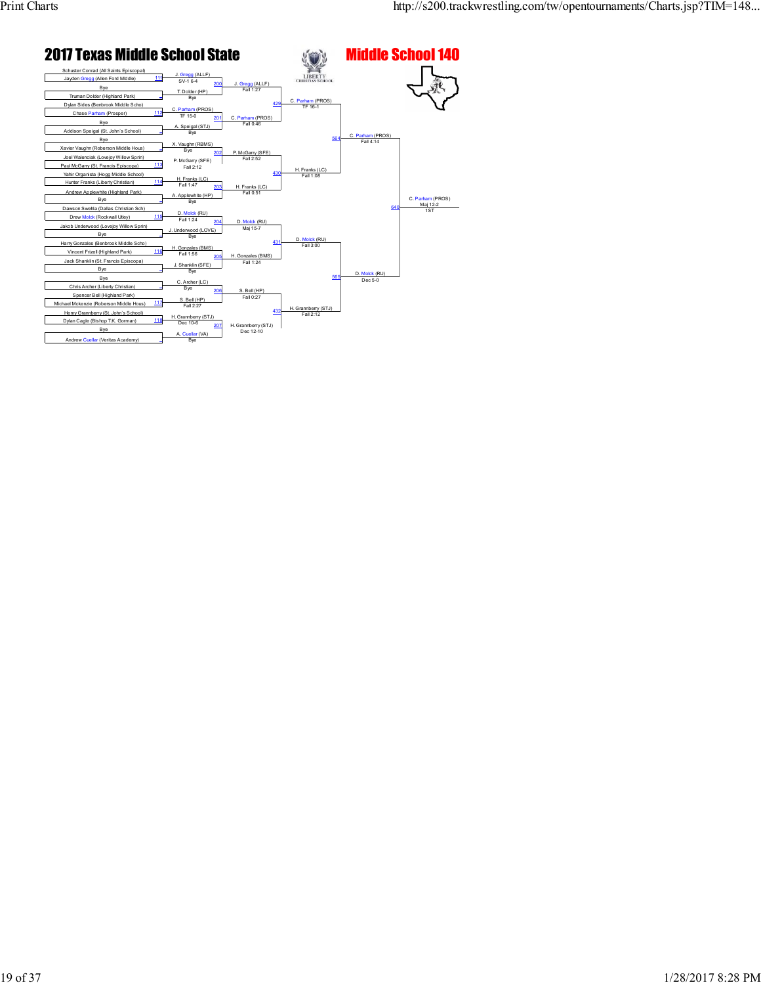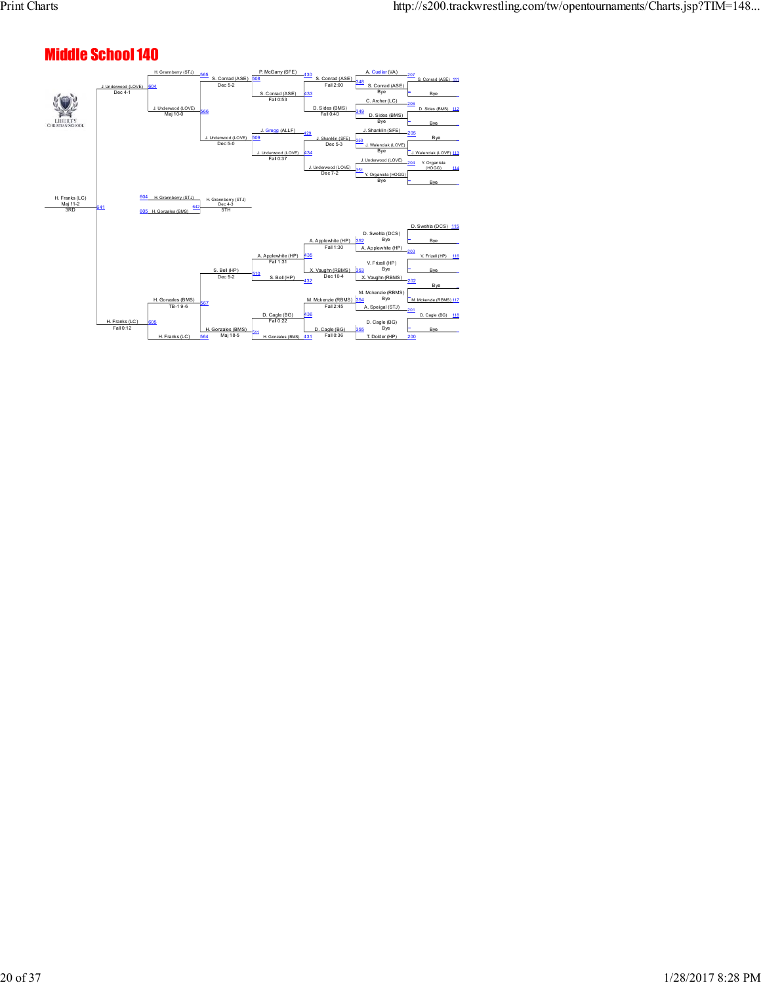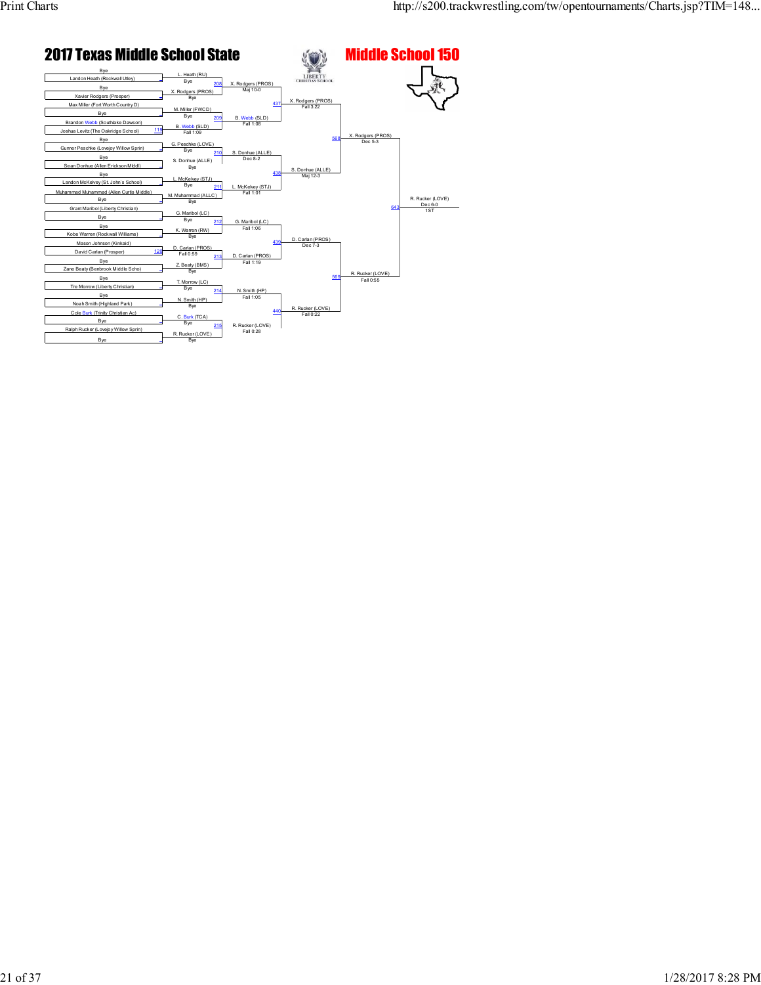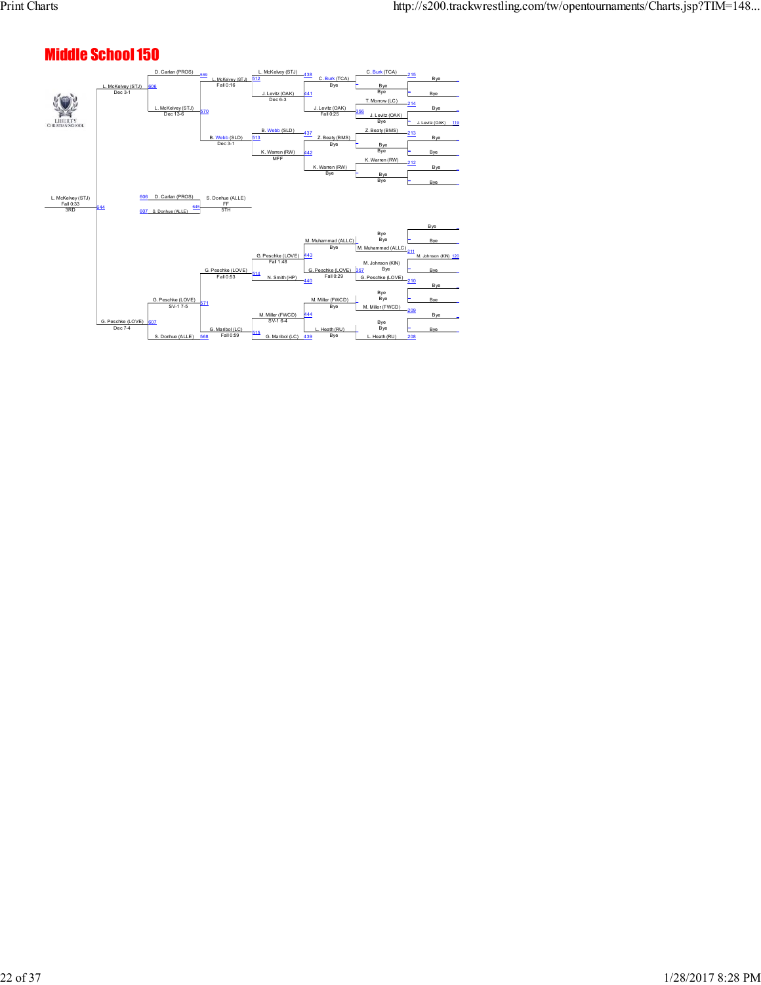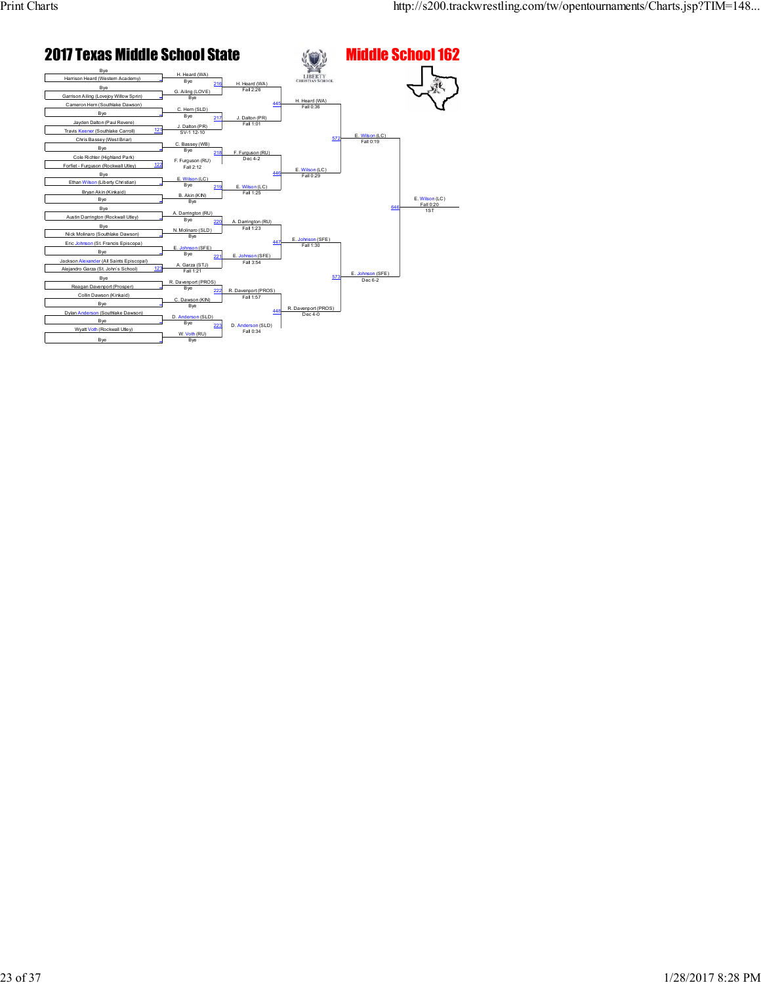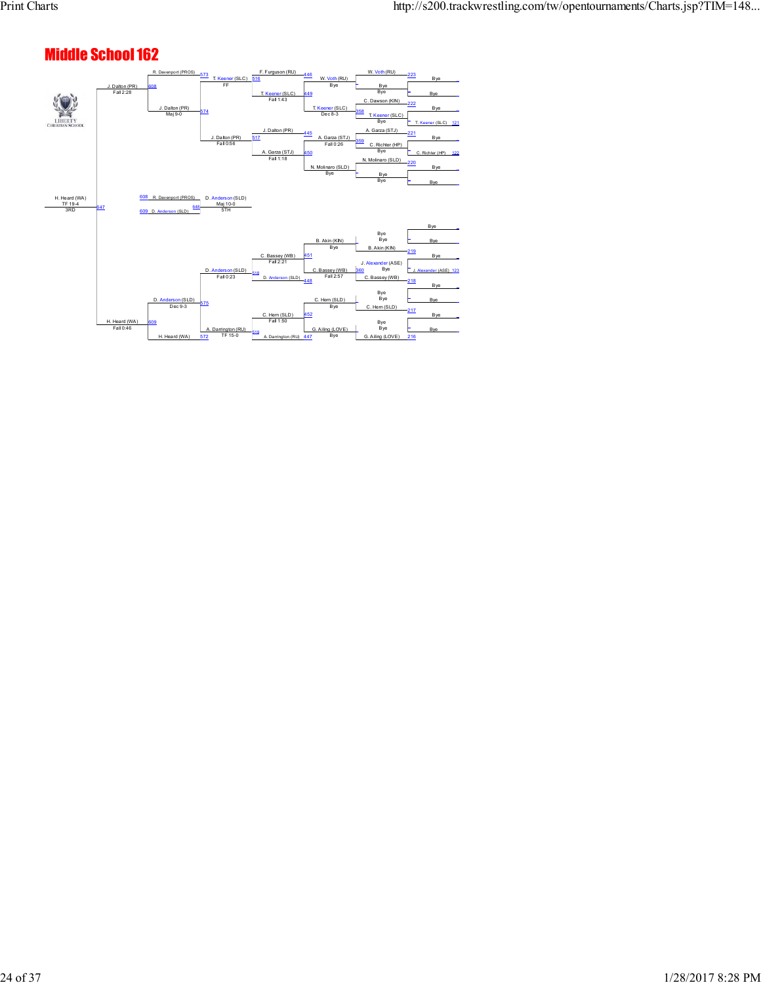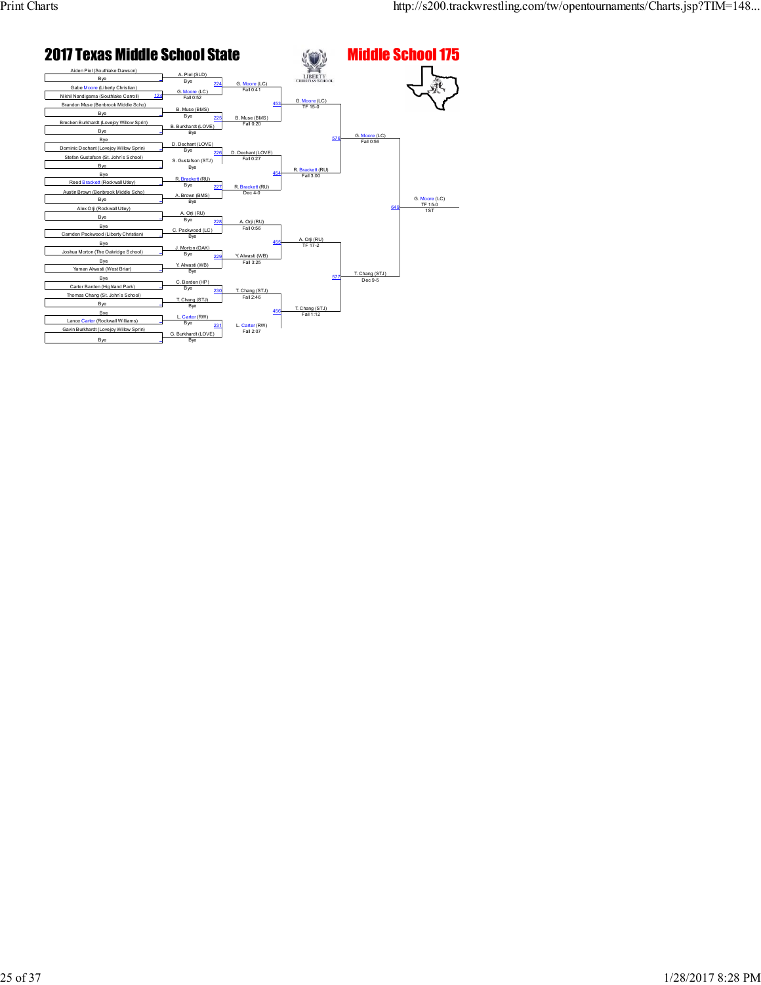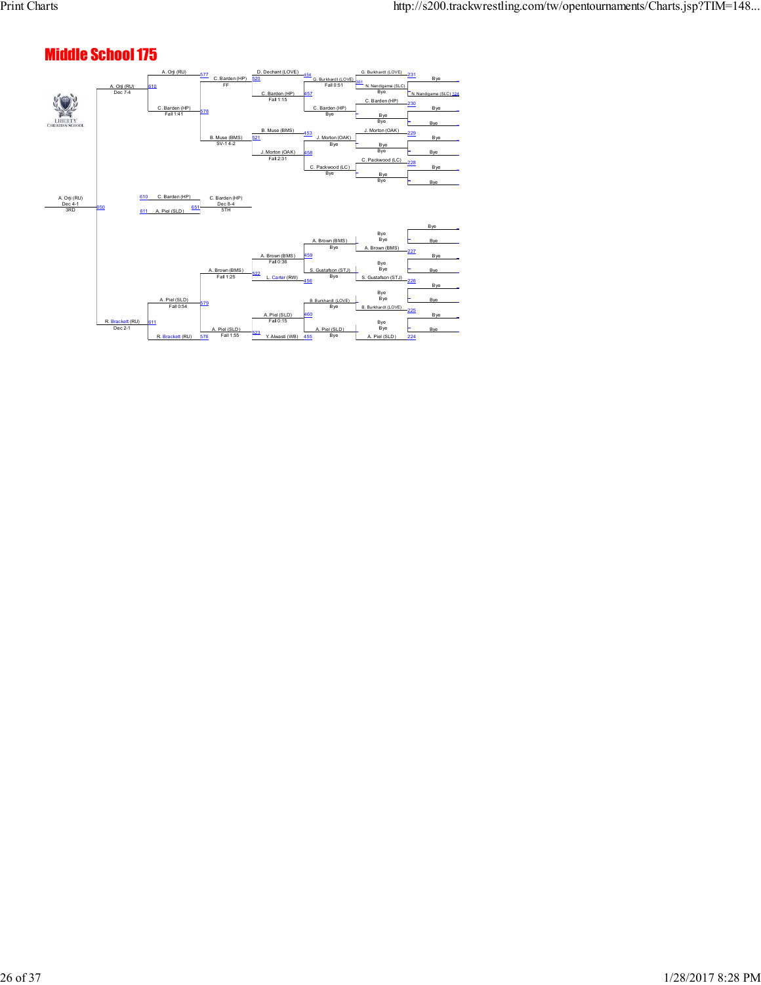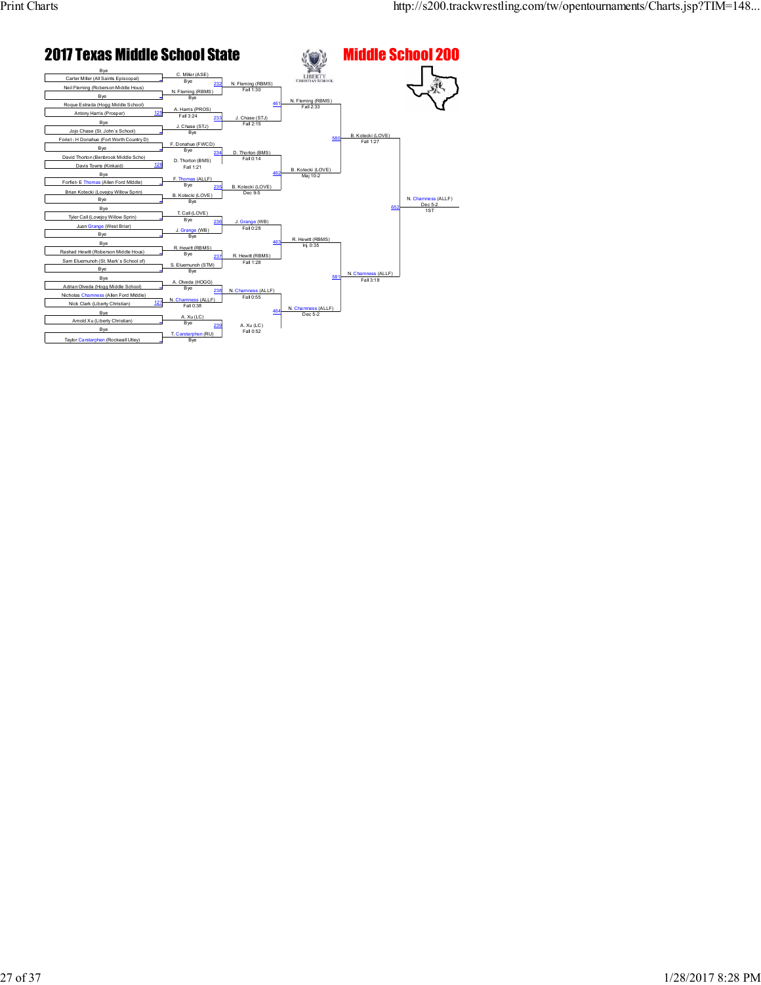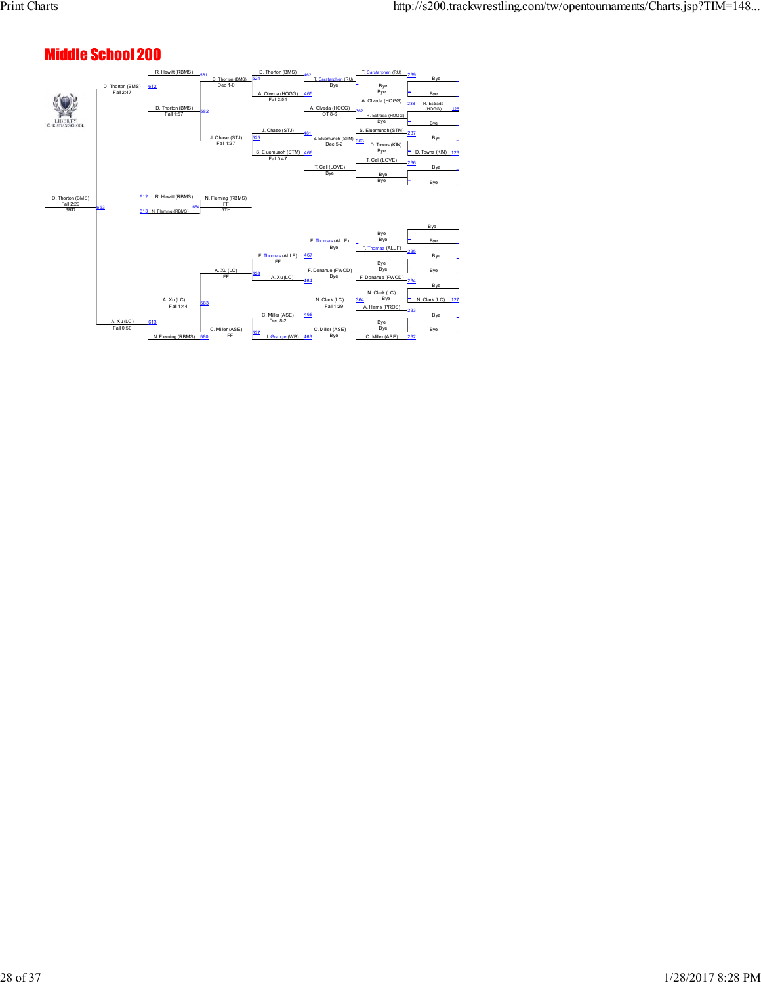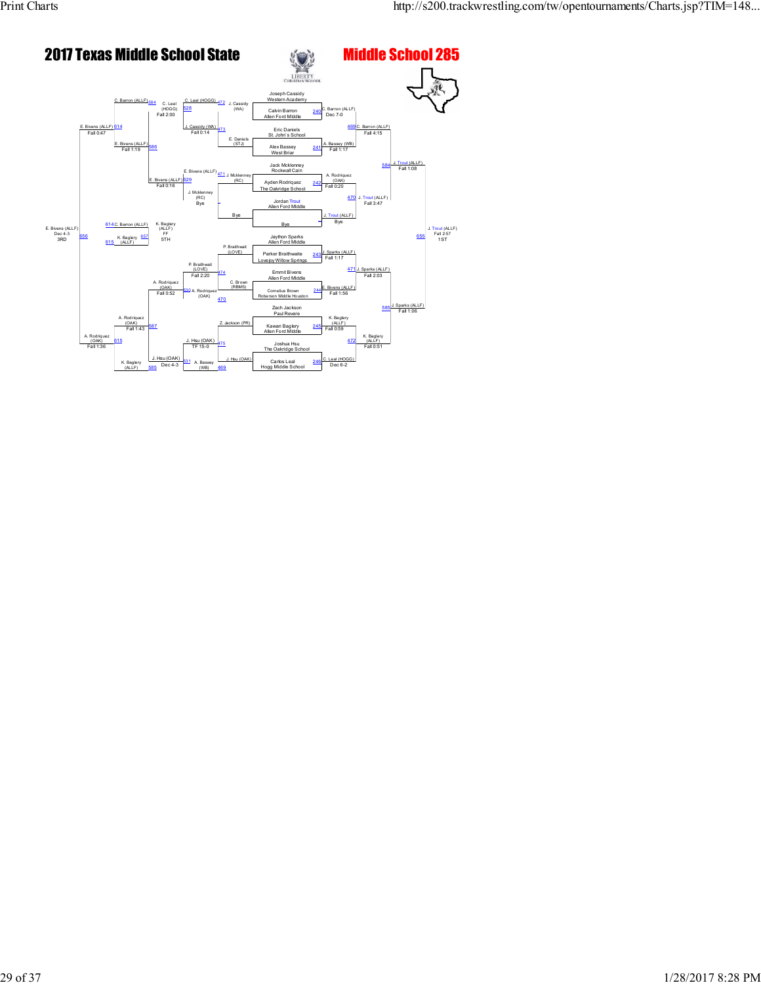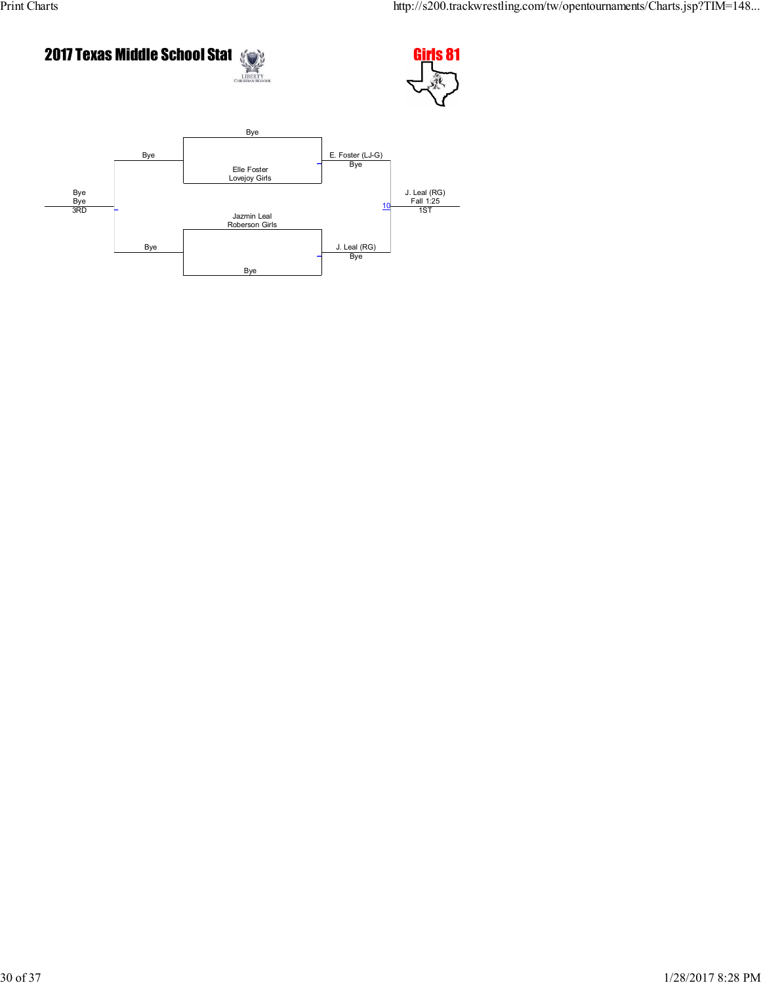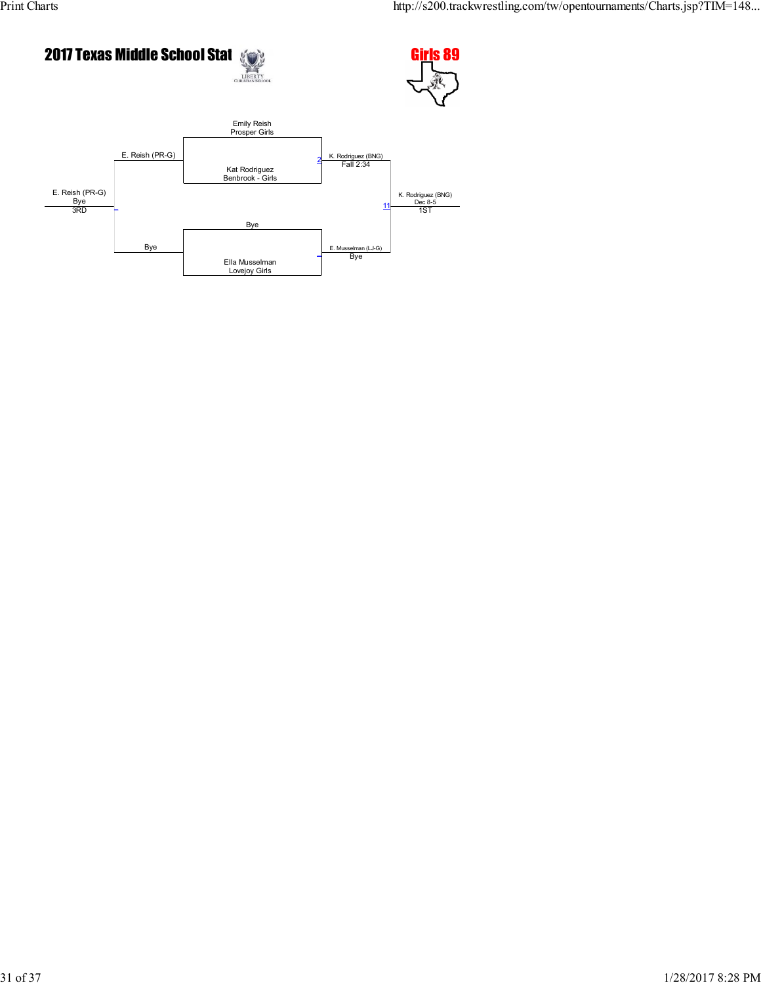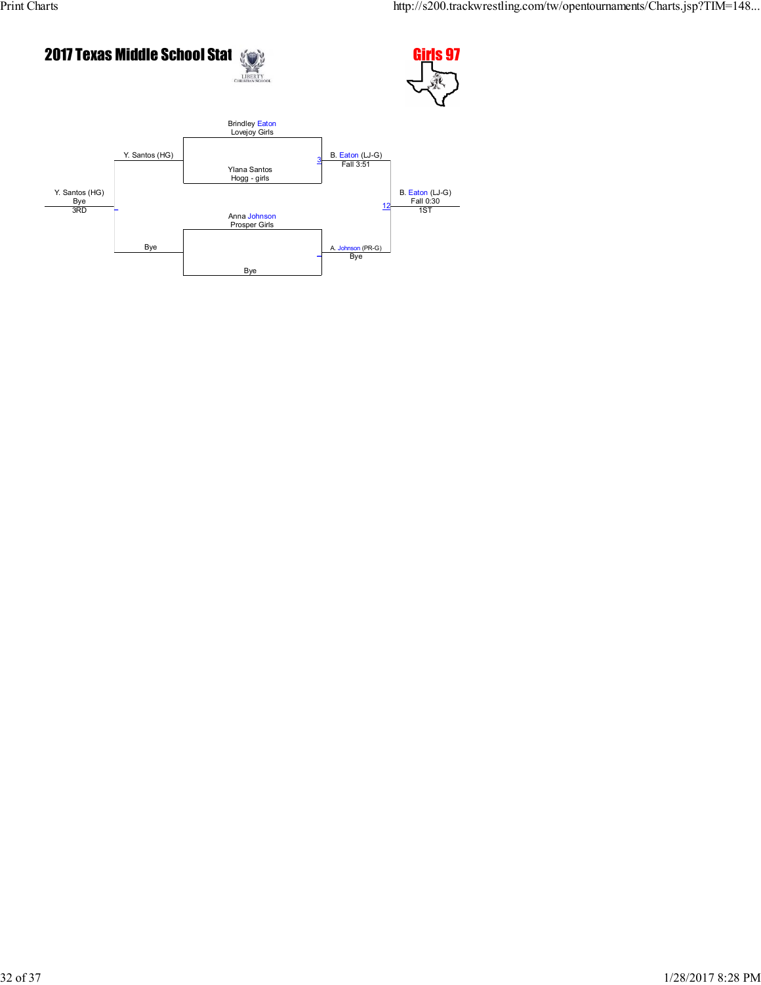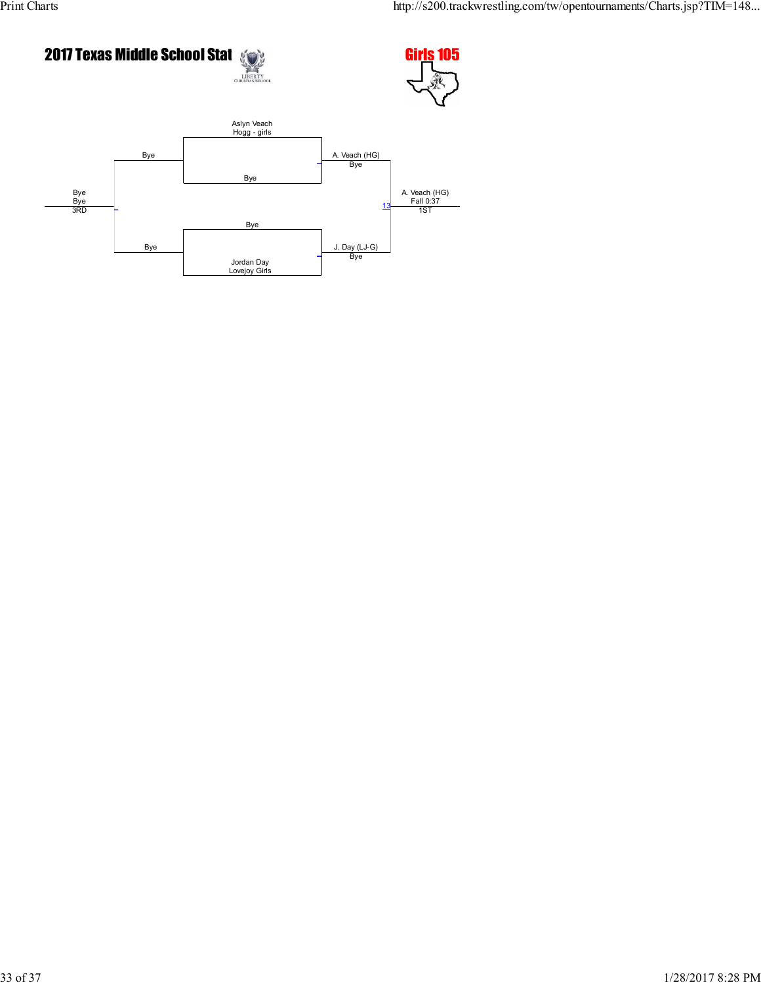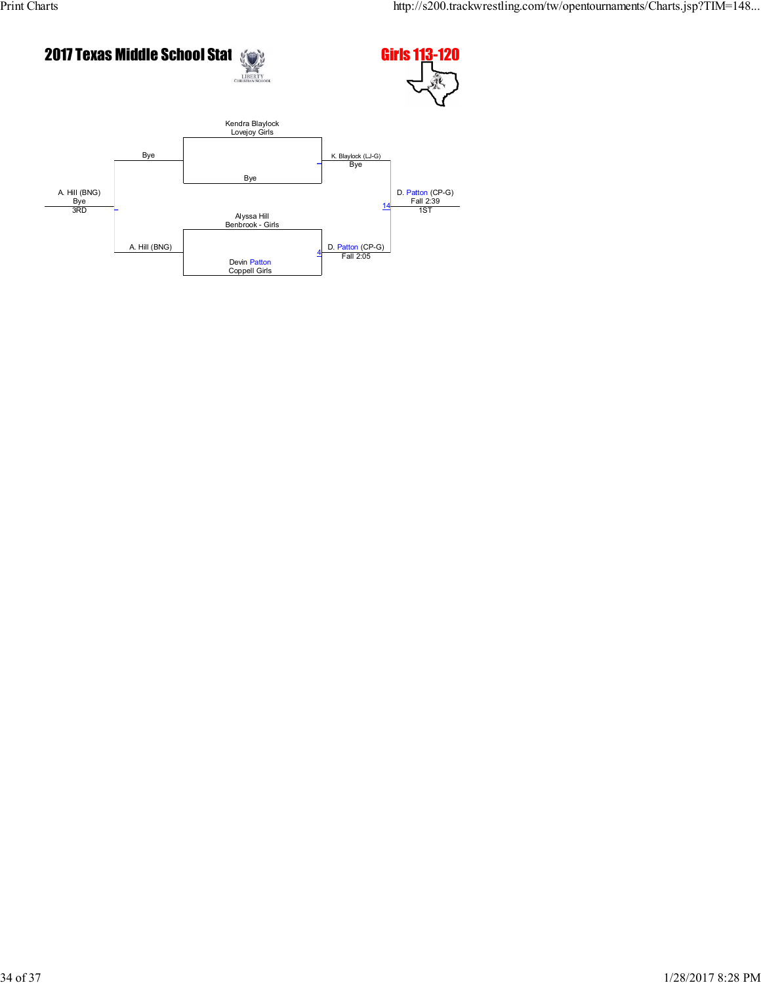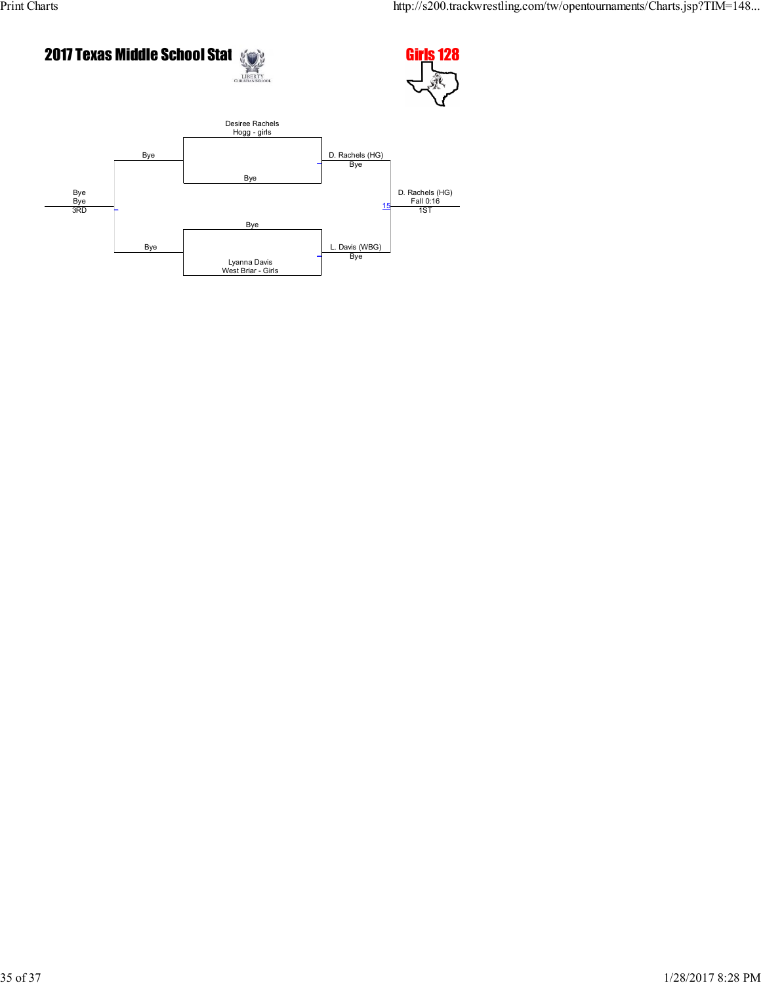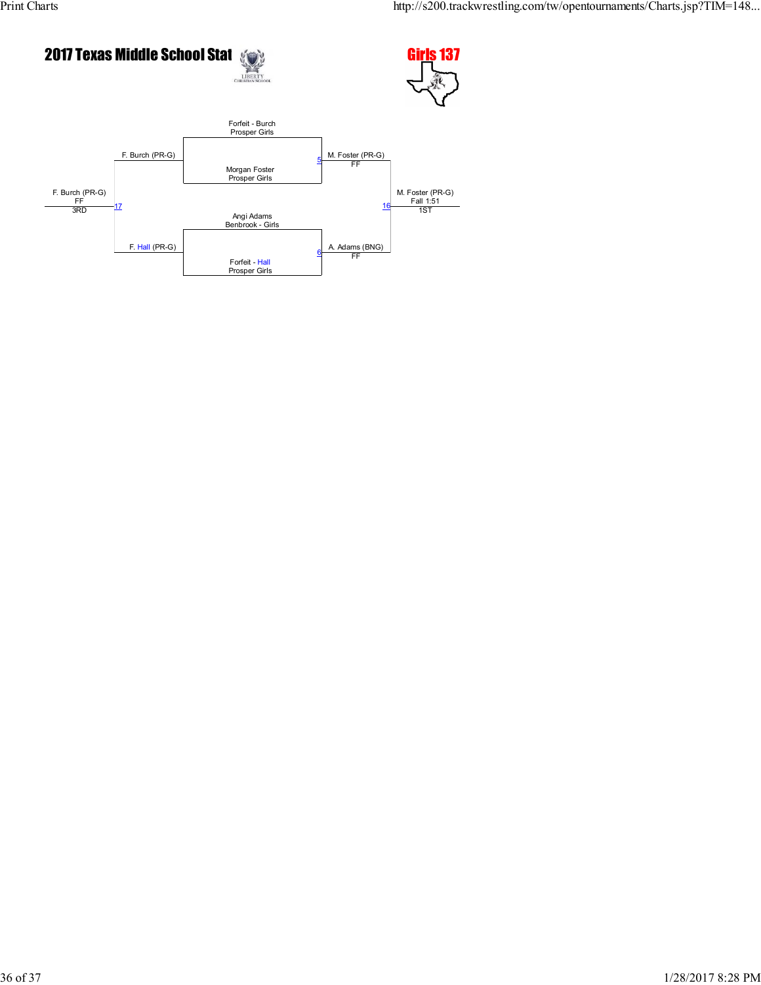